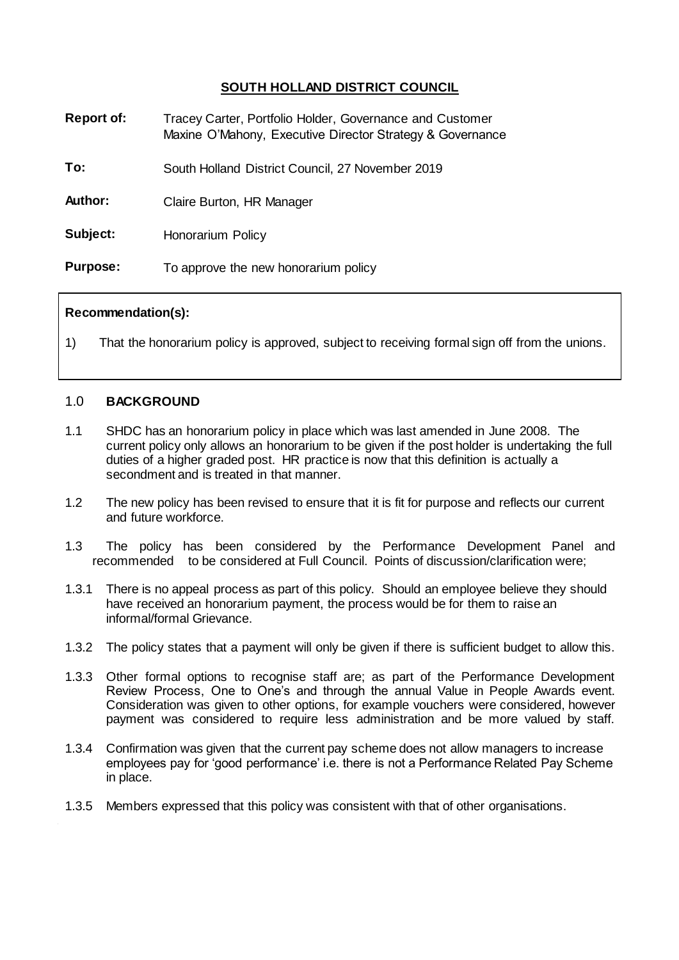# **SOUTH HOLLAND DISTRICT COUNCIL**

| <b>Report of:</b> | Tracey Carter, Portfolio Holder, Governance and Customer<br>Maxine O'Mahony, Executive Director Strategy & Governance |
|-------------------|-----------------------------------------------------------------------------------------------------------------------|
| To:               | South Holland District Council, 27 November 2019                                                                      |
| Author:           | Claire Burton, HR Manager                                                                                             |
| Subject:          | Honorarium Policy                                                                                                     |
| <b>Purpose:</b>   | To approve the new honorarium policy                                                                                  |

### **Recommendation(s):**

1) That the honorarium policy is approved, subject to receiving formal sign off from the unions.

#### 1.0 **BACKGROUND**

- 1.1 SHDC has an honorarium policy in place which was last amended in June 2008. The current policy only allows an honorarium to be given if the post holder is undertaking the full duties of a higher graded post. HR practice is now that this definition is actually a secondment and is treated in that manner.
- 1.2 The new policy has been revised to ensure that it is fit for purpose and reflects our current and future workforce.
- 1.3 The policy has been considered by the Performance Development Panel and recommended to be considered at Full Council. Points of discussion/clarification were;
- 1.3.1 There is no appeal process as part of this policy. Should an employee believe they should have received an honorarium payment, the process would be for them to raise an informal/formal Grievance.
- 1.3.2 The policy states that a payment will only be given if there is sufficient budget to allow this.
- 1.3.3 Other formal options to recognise staff are; as part of the Performance Development Review Process, One to One's and through the annual Value in People Awards event. Consideration was given to other options, for example vouchers were considered, however payment was considered to require less administration and be more valued by staff.
- 1.3.4 Confirmation was given that the current pay scheme does not allow managers to increase employees pay for 'good performance' i.e. there is not a Performance Related Pay Scheme in place.
- 1.3.5 Members expressed that this policy was consistent with that of other organisations.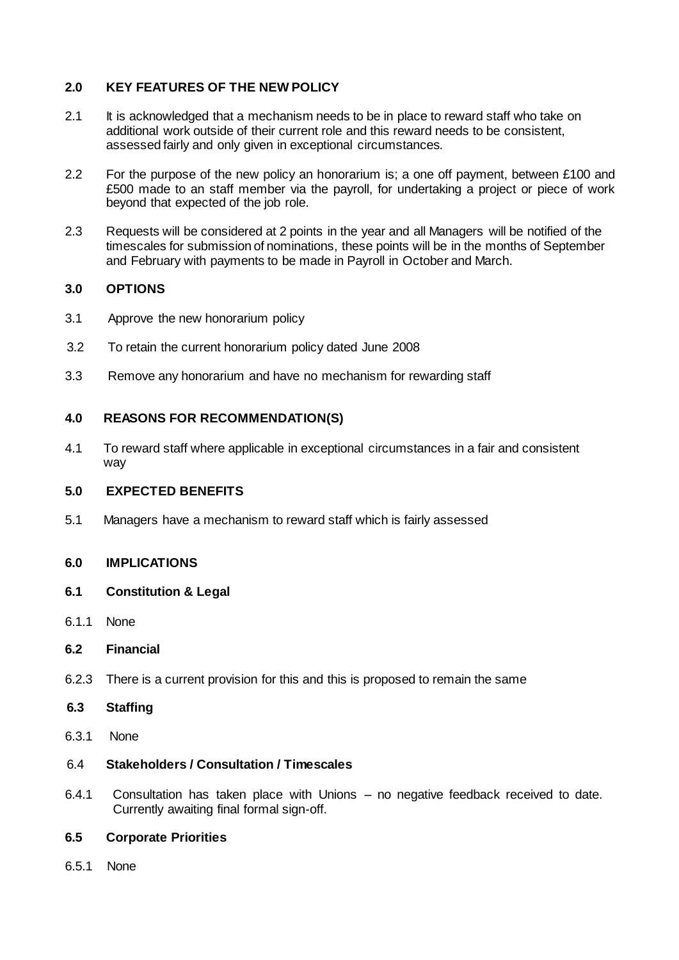## **2.0 KEY FEATURES OF THE NEW POLICY**

- 2.1 It is acknowledged that a mechanism needs to be in place to reward staff who take on additional work outside of their current role and this reward needs to be consistent, assessed fairly and only given in exceptional circumstances.
- 2.2 For the purpose of the new policy an honorarium is; a one off payment, between £100 and £500 made to an staff member via the payroll, for undertaking a project or piece of work beyond that expected of the job role.
- 2.3 Requests will be considered at 2 points in the year and all Managers will be notified of the timescales for submission of nominations, these points will be in the months of September and February with payments to be made in Payroll in October and March.

## **3.0 OPTIONS**

- 3.1 Approve the new honorarium policy
- 3.2 To retain the current honorarium policy dated June 2008
- 3.3 Remove any honorarium and have no mechanism for rewarding staff

### **4.0 REASONS FOR RECOMMENDATION(S)**

4.1 To reward staff where applicable in exceptional circumstances in a fair and consistent way

#### **5.0 EXPECTED BENEFITS**

5.1 Managers have a mechanism to reward staff which is fairly assessed

# **6.0 IMPLICATIONS**

- **6.1 Constitution & Legal**
- 6.1.1 None
- **6.2 Financial**
- 6.2.3 There is a current provision for this and this is proposed to remain the same
- **6.3 Staffing**
- 6.3.1 None

#### 6.4 **Stakeholders / Consultation / Timescales**

6.4.1 Consultation has taken place with Unions – no negative feedback received to date. Currently awaiting final formal sign-off.

### **6.5 Corporate Priorities**

6.5.1None